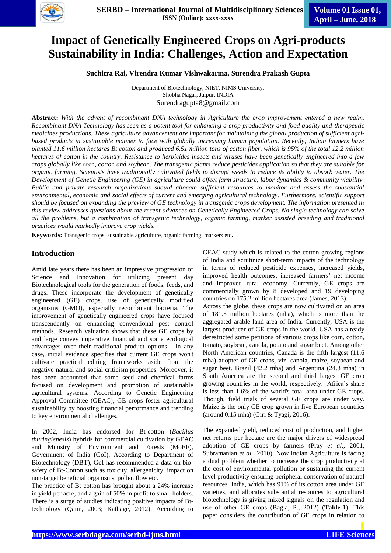

# **Impact of Genetically Engineered Crops on Agri-products Sustainability in India: Challenges, Action and Expectation**

**Suchitra Rai, Virendra Kumar Vishwakarma, Surendra Prakash Gupta**

Department of Biotechnology, NIET, NIMS University, Shobha Nagar, Jaipur, INDIA Surendragupta8@gmail.com

**Abstract:** *With the advent of recombinant DNA technology in Agriculture the crop improvement entered a new realm. Recombinant DNA Technology has seen as a potent tool for enhancing a crop productivity and food quality and therapeutic medicines productions. These agriculture advancement are important for maintaining the global production of sufficient agribased products in sustainable manner to face with globally increasing human population. Recently, Indian farmers have planted 11.6 million hectares Bt cotton and produced 6.51 million tons of cotton fiber, which is 95% of the total 12.2 million hectares of cotton in the country. Resistance to herbicides insects and viruses have been genetically engineered into a few crops globally like corn, cotton and soybean. The transgenic plants reduce pesticides application so that they are suitable for organic farming. Scientists have traditionally cultivated fields to disrupt weeds to reduce its ability to absorb water. The Development of Genetic Engineering (GE) in agriculture could affect farm structure, labor dynamics & community viability. Public and private research organizations should allocate sufficient resources to monitor and assess the substantial environmental, economic and social effects of current and emerging agricultural technology. Furthermore, scientific support should be focused on expanding the preview of GE technology in transgenic crops development. The information presented in this review addresses questions about the recent advances on Genetically Engineered Crops. No single technology can solve all the problems, but a combination of transgenic technology, organic farming, marker assisted breeding and traditional practices would markedly improve crop yields.*

**Keywords:** Transgenic crops, sustainable agriculture, organic farming, markers etc**.**

## **Introduction**

Amid late years there has been an impressive progression of Science and Innovation for utilizing present day Biotechnological tools for the generation of foods, feeds, and drugs. These incorporate the development of genetically engineered (GE) crops, use of genetically modified organisms (GMO), especially recombinant bacteria. The improvement of genetically engineered crops have focused transcendently on enhancing conventional pest control methods. Research valuation shows that these GE crops by and large convey imperative financial and some ecological advantages over their traditional product options. In any case, initial evidence specifies that current GE crops won't cultivate practical editing frameworks aside from the negative natural and social criticism properties. Moreover, it has been accounted that some seed and chemical farms focused on development and promotion of sustainable agricultural systems. According to Genetic Engineering Approval Committee (GEAC), GE crops foster agricultural sustainability by boosting financial performance and trending to key environmental challenges.

In 2002, India has endorsed for Bt-cotton (*Bacillus thuringienesis*) hybrids for commercial cultivation by GEAC and Ministry of Environment and Forests (MoEF), Government of India (GoI). According to Department of Biotechnology (DBT), GoI has recommended a data on biosafety of Bt-Cotton such as toxicity, allergenicity, impact on non-target beneficial organisms, pollen flow etc.

The practice of Bt cotton has brought about a 24% increase in yield per acre, and a gain of 50% in profit to small holders. There is a surge of studies indicating positive impacts of Bttechnology (Qaim, 2003; Kathage, 2012). According to GEAC study which is related to the cotton-growing regions of India and scrutinize short-term impacts of the technology in terms of reduced pesticide expenses, increased yields, improved health outcomes, increased farmers' net income and improved rural economy. Currently, GE crops are commercially grown by 8 developed and 19 developing countries on 175.2 million hectares area (James, 2013). Across the globe, these crops are now cultivated on an area

of 181.5 million hectares (mha), which is more than the aggregated arable land area of India. Currently, USA is the largest producer of GE crops in the world. USA has already derestricted some petitions of various crops like corn, cotton, tomato, soybean, canola, potato and sugar beet. Among other North American countries, Canada is the fifth largest (11.6 mha) adopter of GE crops, viz. canola, maize, soybean and sugar beet. Brazil (42.2 mha) and Argentina (24.3 mha) in South America are the second and third largest GE crop growing countries in the world, respectively. Africa"s share is less than 1.6% of the world's total area under GE crops. Though, field trials of several GE crops are under way. Maize is the only GE crop grown in five European countries (around 0.15 mha) (Giri & Tyagi**,** 2016).

The expanded yield, reduced cost of production, and higher net returns per hectare are the major drivers of widespread adoption of GE crops by farmers (Pray *et al.,* 2001, Subramanian *et al*., 2010). Now Indian Agriculture is facing a dual problem whether to increase the crop productivity at the cost of environmental pollution or sustaining the current level productivity ensuring peripheral conservation of natural resources. India, which has 91% of its cotton area under GE varieties, and allocates substantial resources to agricultural biotechnology is giving mixed signals on the regulation and use of other GE crops (Bagla, P., 2012) (**Table-1**). This paper considers the contribution of GE crops in relation to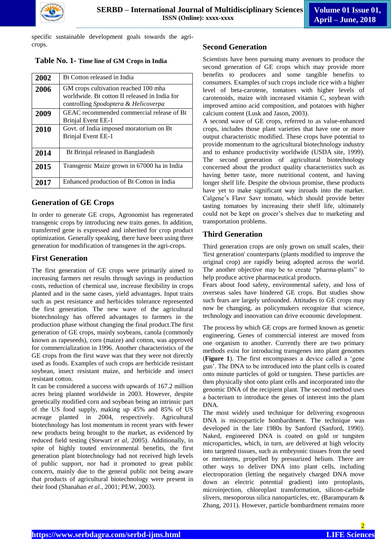

specific sustainable development goals towards the agricrops.

 **Table No. 1- Time line of GM Crops in India**

| 2002 | Bt Cotton released in India                                                                                                   |
|------|-------------------------------------------------------------------------------------------------------------------------------|
| 2006 | GM crops cultivation reached 100 mha<br>worldwide. Bt cotton II released in India for<br>controlling Spodoptera & Helicoverpa |
| 2009 | GEAC recommended commercial release of Bt<br>Brinjal Event EE-1                                                               |
| 2010 | Govt. of India imposed moratorium on Bt<br>Brinjal Event EE-1                                                                 |
| 2014 | Bt Brinial released in Bangladesh                                                                                             |
| 2015 | Transgenic Maize grown in 67000 ha in India                                                                                   |
| 2017 | Enhanced production of Bt Cotton in India                                                                                     |

# **Generation of GE Crops**

In order to generate GE crops, Agronomist has regenerated transgenic crops by introducing new traits genes. In addition, transferred gene is expressed and inherited for crop product optimization. Generally speaking, there have been using three generation for modification of transgenes in the agri-crops.

# **First Generation**

The first generation of GE crops were primarily aimed to increasing farmers net results through savings in production costs, reduction of chemical use, increase flexibility in crops planted and in the same cases, yield advantages. Input traits such as pest resistance and herbicides tolerance represented the first generation. The new wave of the agricultural biotechnology has offered advantages to farmers in the production phase without changing the final product.The first generation of GE crops, mainly soybeans, canola (commonly known as rapeseeds), corn (maize) and cotton, was approved for commercialization in 1996. Another characteristics of the GE crops from the first wave was that they were not directly used as foods. Examples of such crops are herbicide resistant soybean, insect resistant maize, and herbicide and insect resistant cotton.

It can be considered a success with upwards of 167.2 million acres being planted worldwide in 2003. However, despite genetically modified corn and soybean being an intrinsic part of the US food supply, making up 45% and 85% of US acreage planted in 2004, respectively. Agricultural biotechnology has lost momentum in recent years with fewer new products being brought to the market, as evidenced by reduced field testing (Stewart *et al,* 2005). Additionally, in spite of highly touted environmental benefits, the first generation plant biotechnology had not received high levels of public support, nor had it promoted to great public concern, mainly due to the general public not being aware that products of agricultural biotechnology were present in their food (Shanahan *et al.,* 2001; PEW, 2003).

## **Second Generation**

Scientists have been pursuing many avenues to produce the second generation of GE crops which may provide more benefits to producers and some tangible benefits to consumers. Examples of such crops include rice with a higher level of beta-carotene, tomatoes with higher levels of carotenoids, maize with increased vitamin C, soybean with improved amino acid composition, and potatoes with higher calcium content (Lusk and Jason, 2003).

A second wave of GE crops, referred to as value-enhanced crops, includes those plant varieties that have one or more output characteristic modified. These crops have potential to provide momentum to the agricultural biotechnology industry and to enhance productivity worldwide (USDA site, 1999). The second generation of agricultural biotechnology concerned about the product quality characteristics such as having better taste, more nutritional content, and having longer shelf life. Despite the obvious promise, these products have yet to make significant way inroads into the market. Calgene's Flavr Savr tomato, which should provide better tasting tomatoes by increasing their shelf life, ultimately could not be kept on grocer"s shelves due to marketing and transportation problems.

# **Third Generation**

Third generation crops are only grown on small scales, their 'first generation' counterparts (plants modified to improve the original crop) are rapidly being adopted across the world. The another objective may be to create "pharma-plants" to help produce active pharmaceutical products.

Fears about food safety, environmental safety, and loss of overseas sales have hindered GE crops. But studies show such fears are largely unfounded. Attitudes to GE crops may now be changing, as policymakers recognize that science, technology and innovation can drive economic development.

The process by which GE crops are formed known as genetic engineering. Genes of commercial interest are moved from one organism to another. Currently there are two primary methods exist for introducing transgenes into plant genomes (**Figure 1**). The first encompasses a device called a "gene gun". The DNA to be introduced into the plant cells is coated onto minute particles of gold or tungsten. These particles are then physically shot onto plant cells and incorporated into the genomic DNA of the recipient plant. The second method uses a bacterium to introduce the genes of interest into the plant DNA.

The most widely used technique for delivering exogenous DNA is microparticle bombardment. The technique was developed in the late 1980s by Sanford (Sanford, 1990). Naked, engineered DNA is coated on gold or tungsten microparticles, which, in turn, are delivered at high velocity into targeted tissues, such as embryonic tissues from the seed or meristems, propelled by pressurized helium. There are other ways to deliver DNA into plant cells, including electroporation (letting the negatively charged DNA move down an electric potential gradient) into protoplasts, microinjection, chloroplast transformation, silicon-carbide slivers, mesoporous silica nanoparticles, etc. (Barampuram & Zhang, 2011). However, particle bombardment remains more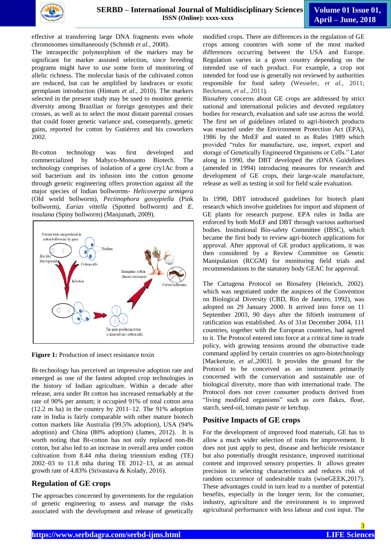

effective at transferring large DNA fragments even whole chromosomes simultaneously (Schmidt *et al.,* 2008).

The intraspecific polymorphism of the markers may be significant for marker assisted selection, since breeding programs might have to use some form of monitoring of allelic richness. The molecular basis of the cultivated cotton are reduced, but can be amplified by landraces or exotic germplasm introduction (Hintum *et al.,* 2010). The markers selected in the present study may be used to monitor genetic diversity among Brazilian or foreign genotypes and their crosses, as well as to select the most distant parental crosses that could foster genetic variance and, consequently, genetic gains, reported for cotton by Gutiérrez and his coworkers 2002.

Bt-cotton technology was first developed and commercialized by Mahyco-Monsanto Biotech. The technology comprises of isolation of a gene cry1Ac from a soil bacterium and its infusion into the cotton genome through genetic engineering offers protection against all the major species of Indian bollworms- *Helicoverpa armigera* (Old world bollworm), *Pectinophora gossypiella* (Pink bollworm), *Earias vittella* (Spotted bollworm) and *E. insulana* (Spiny bollworm) (Manjunath, 2009).



**Figure 1:** Production of insect resistance toxin

Bt-technology has perceived an impressive adoption rate and emerged as one of the fastest adopted crop technologies in the history of Indian agriculture. Within a decade after release, area under Bt cotton has increased remarkably at the rate of 90% per annum; it occupied 91% of total cotton area  $(12.2 \text{ m} \text{ ha})$  in the country by  $2011-12$ . The 91% adoption rate in India is fairly comparable with other mature biotech cotton markets like Australia (99.5% adoption), USA (94% adoption) and China (80% adoption) (James, 2012). It is worth noting that Bt-cotton has not only replaced non-Bt cotton, but also led to an increase in overall area under cotton cultivation from 8.44 mha during triennium ending (TE) 2002–03 to 11.8 mha during TE 2012–13, at an annual growth rate of 4.83% (Srivastava & Kolady, 2016).

# **Regulation of GE crops**

The approaches concerned by governments for the regulation of genetic engineering to assess and manage the risks associated with the development and release of genetically

modified crops. There are differences in the regulation of GE crops among countries with some of the most marked differences occurring between the USA and Europe. Regulation varies in a given country depending on the intended use of each product. For example, a crop not intended for food use is generally not reviewed by authorities responsible for food safety [\(Wesseler,](https://en.wikipedia.org/wiki/Justus_Wesseler) *et al.,* 2011; Beckmann, *et al.*, 2011).

Biosafety concerns about GE crops are addressed by strict national and international policies and devoted regulatory bodies for research, evaluation and safe use across the world. The first set of guidelines related to agri-biotech products was enacted under the Environment Protection Act (EPA), 1986 by the MoEF and stated to as Rules 1989 which provided "rules for manufacture, use, import, export and storage of Genetically Engineered Organisms or Cells." Later along in 1990, the DBT developed the rDNA Guidelines (amended in 1994) introducing measures for research and development of GE crops, their large-scale manufacture, release as well as testing in soil for field scale evaluation.

In 1998, DBT introduced guidelines for biotech plant research which involve guidelines for import and shipment of GE plants for research purpose. EPA rules in India are enforced by both MoEF and DBT through various authorised bodies. Institutional Bio-safety Committee (IBSC), which became the first body to review agri-biotech applications for approval. After approval of GE product applications, it was then considered by a Review Committee on Genetic Manipulation (RCGM) for monitoring field trials and recommendations to the statutory body GEAC for approval.

The Cartagena Protocol on Biosafety (Heinrich, 2002). which was negotiated under the auspices of the Convention on Biological Diversity (CBD, Rio de Janeiro, 1992), was adopted on 29 January 2000. It arrived into force on 11 September 2003, 90 days after the fiftieth instrument of ratification was established. As of 31st December 2004, 111 countries, together with the European countries, had agreed to it. The Protocol entered into force at a critical time in trade policy, with growing tensions around the obstructive trade command applied by certain countries on agro-biotechnology [Mackenzie, *et al.,*2003]. It provides the ground for the Protocol to be conceived as an instrument primarily concerned with the conservation and sustainable use of biological diversity, more than with international trade. The Protocol does not cover consumer products derived from "living modified organisms" such as corn flakes, flour, starch, seed-oil, tomato paste or ketchup.

# **Positive Impacts of GE crops**

For the development of improved food materials, GE has to allow a much wider selection of traits for improvement. It does not just apply to pest, disease and herbicide resistance but also potentially drought resistance, improved nutritional content and improved sensory properties. It allows greater precision in selecting characteristics and reduces risk of random occurrence of undesirable traits (wiseGEEK,2017). These advantages could in turn lead to a number of potential benefits, especially in the longer term, for the consumer, industry, agriculture and the environment is to improved agricultural performance with less labour and cost input. The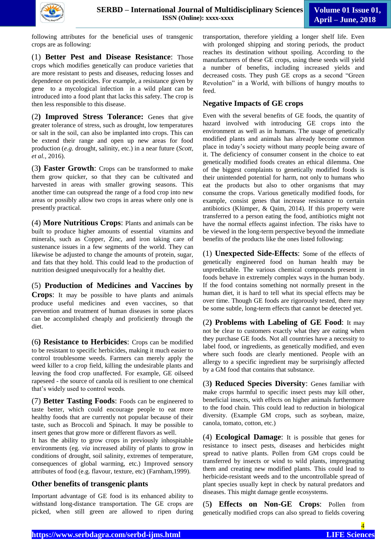

following attributes for the beneficial uses of transgenic crops are as following:

(1) **Better Pest and Disease Resistance**: Those crops which modifies genetically can produce varieties that are more resistant to pests and diseases, reducing losses and dependence on pesticides. For example, a resistance given by gene to a mycological infection in a wild plant can be introduced into a food plant that lacks this safety. The crop is then less responsible to this disease.

(2**) Improved Stress Tolerance:** Genes that give greater tolerance of stress, such as drought, low temperatures or salt in the soil, can also be implanted into crops. This can be extend their range and open up new areas for food production (*e.g.* drought, salinity, etc.) in a near future (*Scott, et al.,* 2016).

(3**) Faster Growth**: Crops can be transformed to make them grow quicker, so that they can be cultivated and harvested in areas with smaller growing seasons. This another time can outspread the range of a food crop into new areas or possibly allow two crops in areas where only one is presently practical.

(4) **More Nutritious Crops**: Plants and animals can be built to produce higher amounts of essential vitamins and minerals, such as Copper, Zinc, and iron taking care of sustenance issues in a few segments of the world. They can likewise be adjusted to change the amounts of protein, sugar, and fats that they hold. This could lead to the production of nutrition designed unequivocally for a healthy diet.

(5) **Production of Medicines and Vaccines by Crops**: It may be possible to have plants and animals produce useful medicines and even vaccines, so that prevention and treatment of human diseases in some places can be accomplished cheaply and proficiently through the diet.

(6**) Resistance to Herbicides**: Crops can be modified to be resistant to specific herbicides, making it much easier to control troublesome weeds. Farmers can merely apply the weed killer to a crop field, killing the undesirable plants and leaving the food crop unaffected. For example, GE oilseed rapeseed - the source of canola oil is resilient to one chemical that"s widely used to control weeds.

(7) **Better Tasting Foods**: Foods can be engineered to taste better, which could encourage people to eat more healthy foods that are currently not popular because of their taste, such as Broccoli and Spinach. It may be possible to insert genes that grow more or different flavors as well.

It has the ability to grow crops in previously inhospitable environments (eg. *via* increased ability of plants to grow in conditions of drought, soil salinity, extremes of temperature, consequences of global warming, etc.) Improved sensory attributes of food (e.g. flavour, texture, etc) (Farnham,1999).

## **Other benefits of transgenic plants**

Important advantage of GE food is its enhanced ability to withstand long-distance transportation. The GE crops are picked, when still green are allowed to ripen during

transportation, therefore yielding a longer shelf life. Even with prolonged shipping and storing periods, the product reaches its destination without spoiling. According to the manufacturers of these GE crops, using these seeds will yield a number of benefits, including increased yields and decreased costs. They push GE crops as a second "Green Revolution" in a World, with billions of hungry mouths to feed.

## **Negative Impacts of GE crops**

Even with the several benefits of GE foods, the quantity of hazard involved with introducing GE crops into the environment as well as in humans. The usage of genetically modified plants and animals has already become common place in today"s society without many people being aware of it. The deficiency of consumer consent in the choice to eat genetically modified foods creates an ethical dilemma. One of the biggest complaints to genetically modified foods is their unintended potential for harm, not only to humans who eat the products but also to other organisms that may consume the crops. Various genetically modified foods, for example, consist genes that increase resistance to certain antibiotics (Klümper, & Qaim, 2014). If this property were transferred to a person eating the food, antibiotics might not have the normal effects against infection. The risks have to be viewed in the long-term perspective beyond the immediate benefits of the products like the ones listed following:

(1) **Unexpected Side-Effects**: Some of the effects of genetically engineered food on human health may be unpredictable. The various chemical compounds present in foods behave in extremely complex ways in the human body. If the food contains something not normally present in the human diet, it is hard to tell what its special effects may be over time. Though GE foods are rigorously tested, there may be some subtle, long-term effects that cannot be detected yet.

(2**) Problems with Labeling of GE Food**: It may not be clear to customers exactly what they are eating when they purchase GE foods. Not all countries have a necessity to label food, or ingredients, as genetically modified, and even where such foods are clearly mentioned. People with an allergy to a specific ingredient may be surprisingly affected by a GM food that contains that substance.

(3**) Reduced Species Diversity**: Genes familiar with make crops harmful to specific insect pests may kill other, beneficial insects, with effects on higher animals furthermore to the food chain. This could lead to reduction in biological diversity. (Example GM crops, such as soybean, maize, canola, tomato, cotton, etc.)

(4) **Ecological Damage**: It is possible that genes for resistance to insect pests, diseases and herbicides might spread to native plants. Pollen from GM crops could be transferred by insects or wind to wild plants, impregnating them and creating new modified plants. This could lead to herbicide-resistant weeds and to the uncontrollable spread of plant species usually kept in check by natural predators and diseases. This might damage gentle ecosystems.

(5**) Effects on Non-GE Crops**: Pollen from genetically modified crops can also spread to fields covering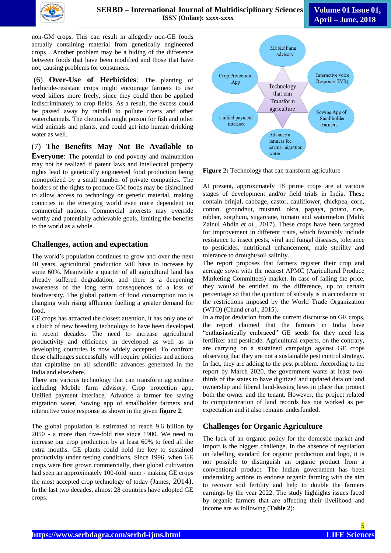

**Volume 01 Issue 01, April – June, 2018**

non-GM crops. This can result in allegedly non-GE foods actually containing material from genetically engineered crops . Another problem may be a hiding of the difference between foods that have been modified and those that have not, causing problems for consumers.

(6) **Over-Use of Herbicides**: The planting of herbicide-resistant crops might encourage farmers to use weed killers more freely, since they could then be applied indiscriminately to crop fields. As a result, the excess could be passed away by rainfall to pollute rivers and other waterchannels. The chemicals might poison for fish and other wild animals and plants, and could get into human drinking water as well.

(7) **The Benefits May Not Be Available to** 

**Everyone**: The potential to end poverty and malnutrition may not be realized if patent laws and intellectual property rights lead to genetically engineered food production being monopolized by a small number of private companies. The holders of the rights to produce GM foods may be disinclined to allow access to technology or genetic material, making countries in the emerging world even more dependent on commercial nations. Commercial interests may override worthy and potentially achievable goals, limiting the benefits to the world as a whole.

## **Challenges, action and expectation**

The world"s population continues to grow and over the next 40 years, agricultural production will have to increase by some 60%. Meanwhile a quarter of all agricultural land has already suffered degradation, and there is a deepening awareness of the long term consequences of a loss of biodiversity. The global pattern of food consumption too is changing with rising affluence fuelling a greater demand for food.

GE crops has attracted the closest attention, it has only one of a clutch of new breeding technology to have been developed in recent decades. The need to increase agricultural productivity and efficiency in developed as well as in developing countries is now widely accepted. To confront these challenges successfully will require policies and actions that capitalize on all scientific advances generated in the India and elsewhere.

There are various technology that can transform agriculture including Mobile farm advisory, Crop protection app, Unified payment interface, Advance a farmer fee saving migration water, Sowing app of smallholder farmers and interactive voice response as shown in the given **figure 2**.

The global population is estimated to reach 9.6 billion by 2050 - a more than five-fold rise since 1900. We need to increase our crop production by at least 60% to feed all the extra mouths. GE plants could hold the key to sustained productivity under testing conditions. Since 1996, when GE crops were first grown commercially, their global cultivation had seen an approximately 100-fold jump - making GE crops the most accepted crop technology of today (James, 2014). In the last two decades, almost 28 countries have adopted GE crops.



**Figure 2:** Technology that can transform agriculture

At present, approximately 18 prime crops are at various stages of development and/or field trials in India. These contain brinjal, cabbage, castor, cauliflower, chickpea, corn, cotton, groundnut, mustard, okra, papaya, potato, rice, rubber, sorghum, sugarcane, tomato and watermelon (Malik Zainul Abdin *et al.,* 2017). These crops have been targeted for improvement in different traits, which favorably include resistance to insect pests, viral and fungal diseases, tolerance to pesticides, nutritional enhancement, male sterility and tolerance to drought/soil salinity.

The report proposes that farmers register their crop and acreage sown with the nearest APMC (Agricultural Produce Marketing Committees) market. In case of falling the price, they would be entitled to the difference, up to certain percentage so that the quantum of subsidy is in accordance to the restrictions imposed by the World Trade Organization (WTO) (Chand *et al*., 2015).

In a major deviation from the current discourse on GE crops, the report claimed that the farmers in India have "enthusiastically embraced" GE seeds for they need less fertilizer and pesticide. Agricultural experts, on the contrary, are carrying on a sustained campaign against GE crops observing that they are not a sustainable pest control strategy. In fact, they are adding to the pest problem. According to the report by March 2020, the government wants at least twothirds of the states to have digitized and updated data on land ownership and liberal land-leasing laws in place that protect both the owner and the tenant. However, the project related to computerization of land records has not worked as per expectation and it also remains underfunded.

# **Challenges for Organic Agriculture**

The lack of an organic policy for the domestic market and import is the biggest challenge. In the absence of regulation on labelling standard for organic production and logo, it is not possible to distinguish an organic product from a conventional product. The Indian government has been undertaking actions to endorse organic farming with the aim to recover soil fertility and help to double the farmers earnings by the year 2022. The study highlights issues faced by organic farmers that are affecting their livelihood and income are as following (**Table 2**):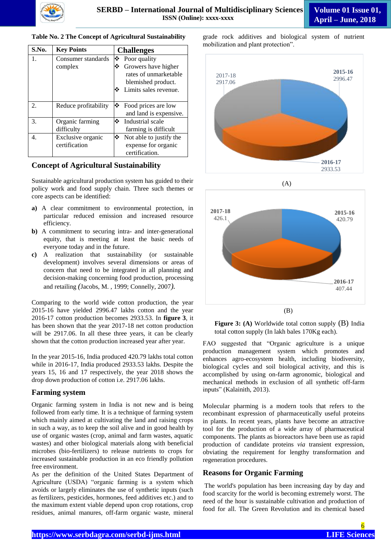#### **Table No. 2 The Concept of Agricultural Sustainability**

| S.No.          | <b>Key Points</b>                  | <b>Challenges</b>                                                                                |  |
|----------------|------------------------------------|--------------------------------------------------------------------------------------------------|--|
| $\mathbf{1}$ . | Consumer standards                 | $\mathbf{\hat{P}}$ Poor quality                                                                  |  |
|                | complex                            | Growers have higher<br>rates of unmarketable<br>blemished product.<br>Limits sales revenue.<br>❖ |  |
| 2.             | Reduce profitability               | Food prices are low<br>and land is expensive.                                                    |  |
| 3.             | Organic farming<br>difficulty      | ❖ Industrial scale<br>farming is difficult                                                       |  |
| 4.             | Exclusive organic<br>certification | ❖<br>Not able to justify the<br>expense for organic<br>certification.                            |  |

#### **Concept of Agricultural Sustainability**

Sustainable agricultural production system has guided to their policy work and food supply chain. Three such themes or core aspects can be identified:

- **a)** A clear commitment to environmental protection, in particular reduced emission and increased resource efficiency.
- **b)** A commitment to securing intra- and inter-generational equity, that is meeting at least the basic needs of everyone today and in the future.
- **c)** A realization that sustainability (or sustainable development) involves several dimensions or areas of concern that need to be integrated in all planning and decision-making concerning food production, processing and retailing *(*Jacobs, M. , 1999; Connelly, 2007*).*

Comparing to the world wide cotton production, the year 2015-16 have yielded 2996.47 lakhs cotton and the year 2016-17 cotton production becomes 2933.53. In **figure 3**, it has been shown that the year 2017-18 net cotton production will be 2917.06. In all these three years, it can be clearly shown that the cotton production increased year after year.

In the year 2015-16, India produced 420.79 lakhs total cotton while in 2016-17, India produced 2933.53 lakhs. Despite the years 15, 16 and 17 respectively, the year 2018 shows the drop down production of cotton i.e. 2917.06 lakhs.

## **Farming system**

Organic farming system in India is not new and is being followed from early time. It is a technique of farming system which mainly aimed at cultivating the land and raising crops in such a way, as to keep the soil alive and in good health by use of organic wastes (crop, animal and farm wastes, aquatic wastes) and other biological materials along with beneficial microbes (bio-fertilizers) to release nutrients to crops for increased sustainable production in an eco friendly pollution free environment.

As per the definition of the United States Department of Agriculture (USDA) "organic farming is a system which avoids or largely eliminates the use of synthetic inputs (such as fertilizers, pesticides, hormones, feed additives etc.) and to the maximum extent viable depend upon crop rotations, crop residues, animal manures, off-farm organic waste, mineral

grade rock additives and biological system of nutrient mobilization and plant protection".





**Figure 3:** (A) Worldwide total cotton supply (B) India total cotton supply (In lakh bales 170Kg each).

FAO suggested that "Organic agriculture is a unique production management system which promotes and enhances agro-ecosystem health, including biodiversity, biological cycles and soil biological activity, and this is accomplished by using on-farm agronomic, biological and mechanical methods in exclusion of all synthetic off-farm inputs" (Kalainith, 2013).

Molecular pharming is a modern tools that refers to the recombinant expression of pharmaceutically useful proteins in plants. In recent years, plants have become an attractive tool for the production of a wide array of pharmaceutical components. The plants as bioreactors have been use as rapid production of candidate proteins *via* transient expression, obviating the requirement for lengthy transformation and regeneration procedures.

## **Reasons for Organic Farming**

The world's population has been increasing day by day and food scarcity for the world is becoming extremely worst. The need of the hour is sustainable cultivation and production of food for all. The Green Revolution and its chemical based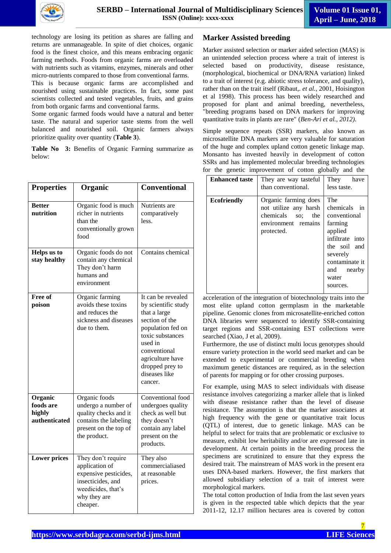

technology are losing its petition as shares are falling and returns are unmanageable. In spite of diet choices, organic food is the finest choice, and this means embracing organic farming methods. Foods from organic farms are overloaded with nutrients such as vitamins, enzymes, minerals and other micro-nutrients compared to those from conventional farms.

This is because organic farms are accomplished and nourished using [sustainable practices.](https://www.conserve-energy-future.com/sustainable-practices-waste-management.php) In fact, some past scientists collected and tested vegetables, fruits, and grains from both organic farms and conventional farms.

Some organic farmed foods would have a natural and better taste. The natural and superior taste stems from the well balanced and nourished soil. Organic farmers always prioritize quality over quantity (**Table 3**).

**Table No 3:** Benefits of Organic Farming summarize as below:

| <b>Properties</b>                               | Organic                                                                                                                              | <b>Conventional</b>                                                                                                                                                                                                |
|-------------------------------------------------|--------------------------------------------------------------------------------------------------------------------------------------|--------------------------------------------------------------------------------------------------------------------------------------------------------------------------------------------------------------------|
| <b>Better</b><br>nutrition                      | Organic food is much<br>richer in nutrients<br>than the<br>conventionally grown<br>food                                              | Nutrients are<br>comparatively<br>less.                                                                                                                                                                            |
| Helps us to<br>stay healthy                     | Organic foods do not<br>contain any chemical<br>They don't harm<br>humans and<br>environment                                         | Contains chemical                                                                                                                                                                                                  |
| Free of<br>poison                               | Organic farming<br>avoids these toxins<br>and reduces the<br>sickness and diseases<br>due to them.                                   | It can be revealed<br>by scientific study<br>that a large<br>section of the<br>population fed on<br>toxic substances<br>used in<br>conventional<br>agriculture have<br>dropped prey to<br>diseases like<br>cancer. |
| Organic<br>foods are<br>highly<br>authenticated | Organic foods<br>undergo a number of<br>quality checks and it<br>contains the labeling<br>present on the top of<br>the product.      | Conventional food<br>undergoes quality<br>check as well but<br>they doesn't<br>contain any label<br>present on the<br>products.                                                                                    |
| <b>Lower prices</b>                             | They don't require<br>application of<br>expensive pesticides,<br>insecticides, and<br>weedicides, that's<br>why they are<br>cheaper. | They also<br>commercialiased<br>at reasonable<br>prices.                                                                                                                                                           |

## **Marker Assisted breeding**

Marker assisted selection or marker aided selection (MAS) is an unintended selection process where a [trait](https://en.wikipedia.org/wiki/Trait_(biology)) of interest is selected based on productivity, disease resistance, [\(morphological,](https://en.wikipedia.org/wiki/Morphology_(biology)) [biochemical](https://en.wikipedia.org/wiki/Biochemical) or [DNA/](https://en.wikipedia.org/wiki/DNA)[RNA](https://en.wikipedia.org/wiki/RNA) variation) linked to a trait of interest (e.g. abiotic stress tolerance, and quality), rather than on the trait itself (Ribaut,. *et al.,* 2001, Hoisington et al 1998). This process has been widely researched and proposed for [plant](https://en.wikipedia.org/wiki/Plant_breeding) and [animal breeding,](https://en.wikipedia.org/wiki/Selective_breeding) nevertheless, "breeding programs based on DNA markers for improving quantitative traits in plants are rare" (*Ben-Ari et al., 2012)*.

Simple sequence repeats (SSR) markers, also known as microsatellite DNA markers are very valuable for saturation of the huge and complex upland cotton genetic linkage map. Monsanto has invested heavily in development of cotton SSRs and has implemented molecular breeding technologies for the genetic improvement of cotton globally and the

| <b>Enhanced taste</b> | They are way tasteful<br>than conventional.                                                             | They<br>have<br>less taste.                                                                                                                                      |
|-----------------------|---------------------------------------------------------------------------------------------------------|------------------------------------------------------------------------------------------------------------------------------------------------------------------|
| <b>Ecofriendly</b>    | Organic farming does<br>not utilize any harsh<br>chemicals so; the<br>environment remains<br>protected. | The<br>chemicals in<br>conventional<br>farming<br>applied<br>infiltrate into<br>the soil and<br>severely<br>contaminate it<br>and<br>nearby<br>water<br>sources. |

acceleration of the integration of biotechnology traits into the most elite upland cotton germplasm in the marketable pipeline. Genomic clones from microsatellite-enriched cotton DNA libraries were sequenced to identify SSR-containing target regions and SSR-containing EST collections were searched (Xiao, J et al, 2009).

Furthermore, the use of distinct multi locus genotypes should ensure variety protection in the world seed market and can be extended to experimental or commercial breeding when maximum genetic distances are required, as in the selection of parents for mapping or for other crossing purposes.

For example, using MAS to select individuals with disease resistance involves categorizing a marker [allele](https://en.wikipedia.org/wiki/Allele) that is linked with disease resistance rather than the level of disease resistance. The assumption is that the marker associates at high frequency with the [gene](https://en.wikipedia.org/wiki/Gene) or [quantitative trait locus](https://en.wikipedia.org/wiki/Quantitative_trait_locus) (QTL) of interest, due to genetic linkage. MAS can be helpful to select for traits that are problematic or exclusive to measure, exhibit low [heritability](https://en.wikipedia.org/wiki/Heritability) and/or are expressed late in development. At certain points in the breeding process the specimens are scrutinized to ensure that they express the desired trait. The mainstream of MAS work in the present era uses DNA-based markers. However, the first markers that allowed subsidiary selection of a trait of interest were morphological markers.

The total cotton production of India from the last seven years is given in the respected table which depicts that the year 2011-12, 12.17 million hectares area is covered by cotton

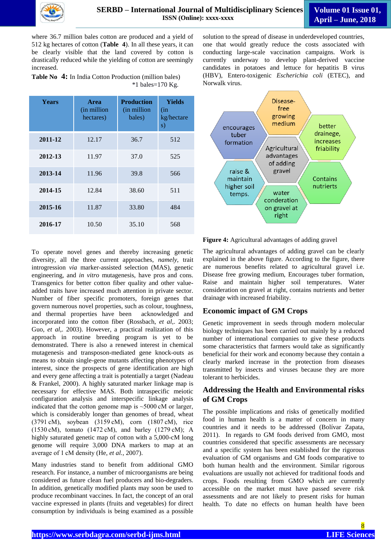

where 36.7 million bales cotton are produced and a yield of 512 kg hectares of cotton (**Table 4**). In all these years, it can be clearly visible that the land covered by cotton is drastically reduced while the yielding of cotton are seemingly increased.

**Table No 4:** In India Cotton Production (million bales) \*1 bales=170 Kg.

| <b>Years</b> | <b>Area</b><br>(in million)<br>hectares) | <b>Production</b><br>(in million)<br>bales) | Yields<br>(in<br>kg/hectare<br>s) |
|--------------|------------------------------------------|---------------------------------------------|-----------------------------------|
| 2011-12      | 12.17                                    | 36.7                                        | 512                               |
| 2012-13      | 11.97                                    | 37.0                                        | 525                               |
| 2013-14      | 11.96                                    | 39.8                                        | 566                               |
| 2014-15      | 12.84                                    | 38.60                                       | 511                               |
| 2015-16      | 11.87                                    | 33.80                                       | 484                               |
| 2016-17      | 10.50                                    | 35.10                                       | 568                               |

To operate novel genes and thereby increasing genetic diversity, all the three current approaches, *namely*, trait introgression *via* marker-assisted selection (MAS), genetic engineering, and *in vitro* mutagenesis, have pros and cons. Transgenics for better cotton fiber quality and other valueadded traits have increased much attention in private sector. Number of fiber specific promoters, foreign genes that govern numerous novel properties, such as colour, toughness, and thermal properties have been acknowledged and incorporated into the cotton fiber (Rossbach, *et al*,. 2003; Guo, *et al*,. 2003). However, a practical realization of this approach in routine breeding program is yet to be demonstrated. There is also a renewed interest in chemical mutagenesis and transposon-mediated gene knock-outs as means to obtain single-gene mutants affecting phenotypes of interest, since the prospects of gene identification are high and every gene affecting a trait is potentially a target (Nadeau & Frankel, 2000). A highly saturated marker linkage map is necessary for effective MAS. Both intraspecific meiotic configuration analysis and interspecific linkage analysis indicated that the cotton genome map is ~5000 cM or larger, which is considerably longer than genomes of bread, wheat (3791 cM), soybean (3159 cM), corn (1807 cM), rice (1530 cM), tomato (1472 cM), and barley (1279 cM); A highly saturated genetic map of cotton with a 5,000-cM long genome will require 3,000 DNA markers to map at an average of 1 cM density (He, *et al.,* 2007).

Many industries stand to benefit from additional GMO research. For instance, a number of microorganisms are being considered as future clean fuel producers and bio-degraders. In addition, genetically modified plants may soon be used to produce recombinant vaccines. In fact, the concept of an oral vaccine expressed in plants (fruits and vegetables) for direct consumption by individuals is being examined as a possible

solution to the spread of disease in underdeveloped countries, one that would greatly reduce the costs associated with conducting large-scale vaccination campaigns. Work is currently underway to develop plant-derived vaccine candidates in potatoes and lettuce for hepatitis B virus (HBV), Entero-toxigenic *Escherichia coli* (ETEC), and Norwalk virus.



**Figure 4:** Agricultural advantages of adding gravel

The agricultural advantages of adding gravel can be clearly explained in the above figure. According to the figure, there are numerous benefits related to agricultural gravel i.e. Disease free growing medium, Encourages tuber formation, Raise and maintain higher soil temperatures. Water consideration on gravel at right, contains nutrients and better drainage with increased friability.

# **Economic impact of GM Crops**

Genetic improvement in seeds through modern molecular biology techniques has been carried out mainly by a reduced number of international companies to give these products some characteristics that farmers would take as significantly beneficial for their work and economy because they contain a clearly marked increase in the protection from diseases transmitted by insects and viruses because they are more tolerant to herbicides.

# **Addressing the Health and Environmental risks of GM Crops**

The possible implications and risks of genetically modified food in human health is a matter of concern in many countries and it needs to be addressed (Bolívar Zapata, 2011). In regards to GM foods derived from GMO, most countries considered that specific assessments are necessary and a specific system has been established for the rigorous evaluation of GM organisms and GM foods comparative to both human health and the environment. Similar rigorous evaluations are usually not achieved for traditional foods and crops. Foods resulting from GMO which are currently accessible on the market must have passed severe risk assessments and are not likely to present risks for human health. To date no effects on human health have been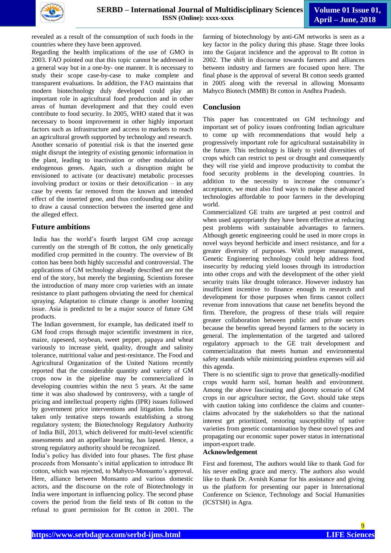

revealed as a result of the consumption of such foods in the countries where they have been approved.

Regarding the health implications of the use of GMO in 2003. FAO pointed out that this topic cannot be addressed in a general way but in a one-by- one manner. It is necessary to study their scope case-by-case to make complete and transparent evaluations. In addition, the FAO maintains that modern biotechnology duly developed could play an important role in agricultural food production and in other areas of human development and that they could even contribute to food security. In 2005, WHO stated that it was necessary to boost improvement in other highly important factors such as infrastructure and access to markets to reach an agricultural growth supported by technology and research. Another scenario of potential risk is that the inserted gene might disrupt the integrity of existing genomic information in the plant, leading to inactivation or other modulation of endogenous genes. Again, such a disruption might be envisioned to activate (or deactivate) metabolic processes involving product or toxins or their detoxification – in any case by events far removed from the known and intended effect of the inserted gene, and thus confounding our ability to draw a causal connection between the inserted gene and the alleged effect.

## **Future ambitions**

India has the world"s fourth largest GM crop acreage currently on the strength of Bt cotton, the only genetically modified crop permitted in the country. The overview of Bt cotton has been both highly successful and controversial. The applications of GM technology already described are not the end of the story, but merely the beginning. Scientists foresee the introduction of many more crop varieties with an innate resistance to plant pathogens obviating the need for chemical spraying. Adaptation to climate change is another looming issue. Asia is predicted to be a major source of future GM products.

The Indian government, for example, has dedicated itself to GM food crops through major scientific investment in rice, maize, rapeseed, soybean, sweet pepper, papaya and wheat variously to increase yield, quality, drought and salinity tolerance, nutritional value and pest-resistance. The Food and Agricultural Organization of the United Nations recently reported that the considerable quantity and variety of GM crops now in the pipeline may be commercialized in developing countries within the next 5 years. At the same time it was also shadowed by controversy, with a tangle of pricing and intellectual property rights (IPR) issues followed by government price interventions and litigation. India has taken only tentative steps towards establishing a strong regulatory system; the Biotechnology Regulatory Authority of India Bill, 2013, which delivered for multi-level scientific assessments and an appellate hearing, has lapsed. Hence, a strong regulatory authority should be recognized.

India"s policy has divided into four phases. The first phase proceeds from Monsanto"s initial application to introduce Bt cotton, which was rejected, to Mahyco-Monsanto's approval. Here, alliance between Monsanto and various domestic actors, and the discourse on the role of Biotechnology in India were important in influencing policy. The second phase covers the period from the field tests of Bt cotton to the refusal to grant permission for Bt cotton in 2001. The

farming of biotechnology by anti-GM networks is seen as a key factor in the policy during this phase. Stage three looks into the Gujarat incidence and the approval to Bt cotton in 2002. The shift in discourse towards farmers and alliances between industry and farmers are focused upon here. The final phase is the approval of several Bt cotton seeds granted in 2005 along with the reversal in allowing Monsanto Mahyco Biotech (MMB) Bt cotton in Andhra Pradesh.

# **Conclusion**

This paper has concentrated on GM technology and important set of policy issues confronting Indian agriculture to come up with recommendations that would help a progressively important role for agricultural sustainability in the future. This technology is likely to yield diversities of crops which can restrict to pest or drought and consequently they will rise yield and improve productivity to combat the food security problems in the developing countries. In addition to the necessity to increase the consumer's acceptance, we must also find ways to make these advanced technologies affordable to poor farmers in the developing world.

Commercialized GE traits are targeted at pest control and when used appropriately they have been effective at reducing pest problems with sustainable advantages to farmers. Although genetic engineering could be used in more crops in novel ways beyond herbicide and insect resistance, and for a greater diversity of purposes. With proper management, Genetic Engineering technology could help address food insecurity by reducing yield looses through its introduction into other crops and with the development of the other yield security traits like drought tolerance. However industry has insufficient incentive to finance enough in research and development for those purposes when firms cannot collect revenue from innovations that cause net benefits beyond the firm. Therefore, the progress of these trials will require greater collaboration between public and private sectors because the benefits spread beyond farmers to the society in general. The implementation of the targeted and tailored regulatory approach to the GE trait development and commercialization that meets human and environmental safety standards while minimizing pointless expenses will aid this agenda.

There is no scientific sign to prove that genetically-modified crops would harm soil, human health and environment. Among the above fascinating and gloomy scenario of GM crops in our agriculture sector, the Govt. should take steps with caution taking into confidence the claims and counterclaims advocated by the stakeholders so that the national interest get prioritized, restoring susceptibility of native varieties from genetic contamination by these novel types and propagating our economic super power status in international import-export trade.

#### **Acknowledgement**

First and foremost, The authors would like to thank God for his never ending grace and mercy. The authors also would like to thank Dr. Avnish Kumar for his assistance and giving us the platform for presenting our paper in International Conference on Science, Technology and Social Humanities (ICSTSH) in Agra.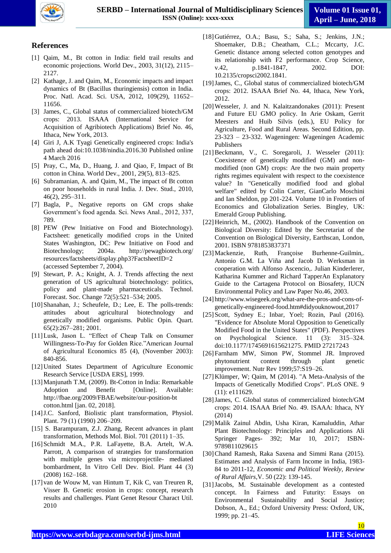

# **References**

- [1] Qaim, M., Bt cotton in India: field trail results and economic projections. World Dev., 2003, 31(12), 2115– 2127.
- [2] Kathage, J. and Qaim, M., Economic impacts and impact dynamics of Bt (Bacillus thuringiensis) cotton in India. Proc. Natl. Acad. Sci. USA, 2012, 109(29), 11652– 11656.
- [3] James, C., Global status of commercialized biotech/GM crops: 2013. ISAAA (International Service for Acquisition of Agribiotech Applications) Brief No. 46, Ithaca, New York, 2013.
- [4] Giri J, A.K Tyagi Genetically engineered crops: India's path ahead doi:10.1038/nindia.2016.30 Published online 4 March 2016
- [5] Pray, C., Ma, D., Huang, J. and Qiao, F, Impact of Bt cotton in China. World Dev., 2001, 29(5), 813–825.
- [6] Subramanian, A. and Qaim, M., The impact of Bt cotton on poor households in rural India. J. Dev. Stud., 2010, 46(2), 295–311.
- [7] Bagla, P., Negative reports on GM crops shake Government's food agenda. Sci. News Anal., 2012, 337, 789.
- [8] PEW (Pew Initiative on Food and Biotechnology). Factsheet: genetically modified crops in the United States Washington, DC: Pew Initiative on Food and Biotechnology; 2004a. http://pewagbiotech.org/ resources/factsheets/display.php3?FactsheetID=2 (accessed September 7, 2004).
- [9] Stewart, P. A.; Knight, A. J. Trends affecting the next generation of US agricultural biotechnology: politics, policy and plant-made pharmaceuticals. Technol. Forecast. Soc. Change 72(5):521–534; 2005.
- [10]Shanahan, J.; Scheufele, D.; Lee, E. The polls-trends: attitudes about agricultural biotechnology and genetically modified organisms. Public Opin. Quart. 65(2):267–281; 2001.
- [11]Lusk, Jason L. "Effect of Cheap Talk on Consumer Willingness-To-Pay for Golden Rice."American Journal of Agricultural Economics 85 (4), (November 2003): 840-856.
- [12]United States Department of Agriculture Economic Research Service [USDA ERS], 1999.
- [13]Manjunath T.M, (2009). Bt-Cotton in India: Remarkable Adoption and Benefit [Online]. Available: http://fbae.org/2009/FBAE/website/our-position-bt cotton.html [jan. 02, 2018].
- [14] J.C. Sanford, Biolistic plant transformation, Physiol. Plant. 79 (1) (1990) 206–209.
- [15] S. Barampuram, Z.J. Zhang, Recent advances in plant transformation, Methods Mol. Biol. 701 (2011) 1–35.
- [16]Schmidt M.A., P.R. LaFayette, B.A. Artelt, W.A. Parrott, A comparison of strategies for transformation with multiple genes via microprojectile- mediated bombardment, In Vitro Cell Dev. Biol. Plant 44 (3) (2008) 162–168.
- [17] van de Wouw M, van Hintum T, Kik C, van Treuren R, Visser B. Genetic erosion in crops: concept, research results and challenges. Plant Genet Resour Charact Util. 2010
- [18]Gutiérrez, O.A.; Basu, S.; Saha, S.; Jenkins, J.N.; Shoemaker, D.B.; Cheatham, C.L.; Mccarty, J.C. Genetic distance among selected cotton genotypes and its relationship with F2 performance. Crop Science, v.42, p.1841-1847, 2002. DOI: 10.2135/cropsci2002.1841.
- [19]James, C., Global status of commercialized biotech/GM crops: 2012. ISAAA Brief No. 44, Ithaca, New York, 2012.
- [20]Wesseler, J. and N. Kalaitzandonakes (2011): Present and Future EU GMO policy. In Arie Oskam, Gerrit Meesters and Huib Silvis (eds.), EU Policy for Agriculture, Food and Rural Areas. Second Edition, pp. 23-323 – 23-332. Wageningen: Wageningen Academic Publishers
- [21]Beckmann, V., C. Soregaroli, J. Wesseler (2011): Coexistence of genetically modified (GM) and nonmodified (non GM) crops: Are the two main property rights regimes equivalent with respect to the coexistence value? In "Genetically modified food and global welfare" edited by Colin Carter, GianCarlo Moschini and Ian Sheldon, pp 201-224. Volume 10 in Frontiers of Economics and Globalization Series. Bingley, UK: Emerald Group Publishing.
- [22] Heinrich, M., (2002). Handbook of the Convention on Biological Diversity: Edited by the Secretariat of the Convention on Biological Diversity, Earthscan, London, 2001. ISBN 9781853837371
- [23]Mackenzie, Ruth, Françoise Burhenne-Guilmin,. Antonio G.M. La Viña and Jacob D. Werksman in cooperation with Alfonso Ascencio,. Julian Kinderlerer, Katharina Kummer and Richard TapperAn Explanatory Guide to the Cartagena Protocol on Biosafety, IUCN Environmental Policy and Law Paper No.46, 2003.
- [24] [http://www.wisegeek.org/what-are-the-pros-and-cons-of](http://www.wisegeek.org/what-are-the-pros-and-cons-of-genetically-engineered-food.htm#didyouknowout,2017)[genetically-engineered-food.htm#didyouknowout,2017](http://www.wisegeek.org/what-are-the-pros-and-cons-of-genetically-engineered-food.htm#didyouknowout,2017)
- [25] Scott, Sydney E.; Inbar, Yoel; Rozin, Paul (2016). "Evidence for Absolute Moral Opposition to Genetically Modified Food in the United States" (PDF). Perspectives on Psychological Science. 11 (3): 315–324. doi:10.1177/1745691615621275. PMID 27217243
- [26]Farnham MW, Simon PW, Stommel JR. Improved phytonutrient content through plant genetic improvement. Nutr Rev 1999;57:S19–26.
- [27]Klümper, W; Qaim, M (2014). "A Meta-Analysis of the Impacts of Genetically Modified Crops". PLoS ONE. 9 (11): e111629.
- [28] James, C. Global status of commercialized biotech/GM crops: 2014. ISAAA Brief No. 49. ISAAA: Ithaca, NY (2014)
- [29]Malik Zainul Abdin, Usha Kiran, Kamaluddin, Athar Plant Biotechnology: Principles and Applications Ali Springer Pages- 392; Mar 10, 2017; ISBN-9789811029615
- [30]Chand Ramesh, Raka Saxena and Simmi Rana (2015). Estimates and Analysis of Farm Income in India, 1983- 84 to 2011-12, *Economic and Political Weekly, Review of Rural Affairs*,V. 50 (22): 139-145.
- [31]Jacobs, M. Sustainable development as a contested concept. In Fairness and Futurity: Essays on Environmental Sustainability and Social Justice; Dobson, A., Ed.; Oxford University Press: Oxford, UK, 1999; pp. 21–45.